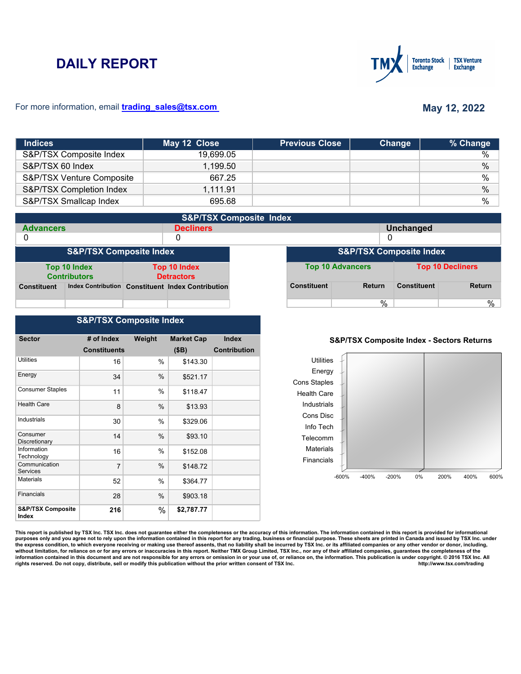# **DAILY REPORT**



### For more information, email **trading\_sales@tsx.com**

# **May 12, 2022**

| <b>Indices</b>            | May 12 Close | <b>Previous Close</b> | Change | % Change      |
|---------------------------|--------------|-----------------------|--------|---------------|
| S&P/TSX Composite Index   | 19.699.05    |                       |        | $\%$          |
| S&P/TSX 60 Index          | 1,199.50     |                       |        | $\%$          |
| S&P/TSX Venture Composite | 667.25       |                       |        | $\frac{0}{0}$ |
| S&P/TSX Completion Index  | 1,111.91     |                       |        | $\%$          |
| S&P/TSX Smallcap Index    | 695.68       |                       |        | $\frac{0}{0}$ |

| <b>S&amp;P/TSX Composite Index</b> |                                     |                                   |                                                   |                                    |                         |               |                         |               |
|------------------------------------|-------------------------------------|-----------------------------------|---------------------------------------------------|------------------------------------|-------------------------|---------------|-------------------------|---------------|
| <b>Advancers</b>                   |                                     |                                   | <b>Decliners</b>                                  |                                    |                         |               | <b>Unchanged</b>        |               |
| 0                                  |                                     |                                   | 0                                                 |                                    |                         |               | 0                       |               |
| <b>S&amp;P/TSX Composite Index</b> |                                     |                                   |                                                   | <b>S&amp;P/TSX Composite Index</b> |                         |               |                         |               |
|                                    | Top 10 Index<br><b>Contributors</b> | Top 10 Index<br><b>Detractors</b> |                                                   |                                    | <b>Top 10 Advancers</b> |               | <b>Top 10 Decliners</b> |               |
| <b>Constituent</b>                 |                                     |                                   | Index Contribution Constituent Index Contribution |                                    | <b>Constituent</b>      | <b>Return</b> | <b>Constituent</b>      | <b>Return</b> |
|                                    |                                     |                                   |                                                   |                                    |                         | $\%$          |                         | %             |

## **S&P/TSX Composite Index**

| <b>Sector</b>                         | # of Index          | Weight | <b>Market Cap</b> | <b>Index</b>        |
|---------------------------------------|---------------------|--------|-------------------|---------------------|
|                                       | <b>Constituents</b> |        | (SB)              | <b>Contribution</b> |
|                                       |                     |        |                   |                     |
| Utilities                             | 16                  | %      | \$143.30          |                     |
| Energy                                | 34                  | $\%$   | \$521.17          |                     |
| <b>Consumer Staples</b>               | 11                  | $\%$   | \$118.47          |                     |
| <b>Health Care</b>                    | 8                   | %      | \$13.93           |                     |
| Industrials                           | 30                  | %      | \$329.06          |                     |
| Consumer<br>Discretionary             | 14                  | %      | \$93.10           |                     |
| Information<br>Technology             | 16                  | %      | \$152.08          |                     |
| Communication<br>Services             | $\overline{7}$      | $\%$   | \$148.72          |                     |
| <b>Materials</b>                      | 52                  | %      | \$364.77          |                     |
| <b>Financials</b>                     | 28                  | $\%$   | \$903.18          |                     |
| <b>S&amp;P/TSX Composite</b><br>Index | 216                 | %      | \$2,787.77        |                     |

### **S&P/TSX Composite Index - Sectors Returns**



This report is published by TSX Inc. TSX Inc. does not guarantee either the completeness or the accuracy of this information. The information contained in this report is provided for informational **purposes only and you agree not to rely upon the information contained in this report for any trading, business or financial purpose. These sheets are printed in Canada and issued by TSX Inc. under**  the express condition, to which everyone receiving or making use thereof assents, that no liability shall be incurred by TSX Inc. or its affiliated companies or any other vendor or donor, including,<br>without limitation, for information contained in this document and are not responsible for any errors or omission in or your use of, or reliance on, the information. This publication is under copyright. © 2016 TSX Inc. All <br>
rights reserved. Do n rights reserved. Do not copy, distribute, sell or modify this publication without the prior written consent of TSX Inc.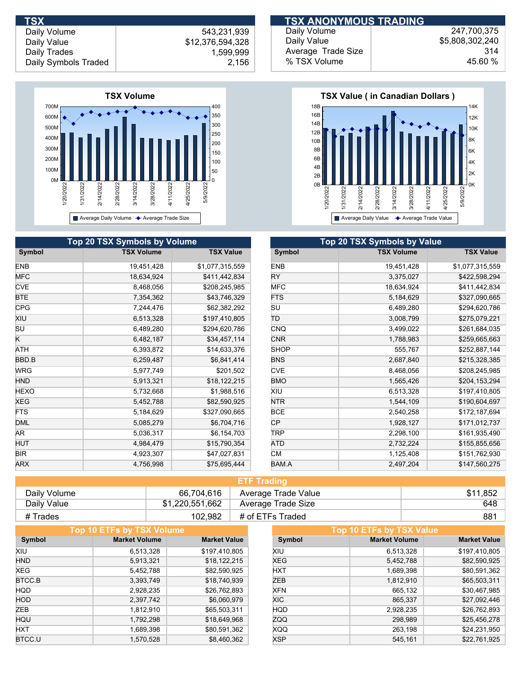

|             | <b>Top 20 TSX Symbols by Volume</b> |                  | <b>Top 20 TSX Symbols by Value</b> |                   |
|-------------|-------------------------------------|------------------|------------------------------------|-------------------|
| Symbol      | <b>TSX Volume</b>                   | <b>TSX Value</b> | Symbol                             | <b>TSX Volume</b> |
| <b>ENB</b>  | 19,451,428                          | \$1,077,315,559  | <b>ENB</b>                         | 19,451,428        |
| <b>MFC</b>  | 18,634,924                          | \$411,442,834    | RY.                                | 3,375,027         |
| <b>CVE</b>  | 8,468,056                           | \$208,245,985    | <b>MFC</b>                         | 18,634,924        |
| <b>BTE</b>  | 7,354,362                           | \$43,746,329     | <b>FTS</b>                         | 5,184,629         |
| <b>CPG</b>  | 7,244,476                           | \$62,382,292     | <b>SU</b>                          | 6,489,280         |
| XIU         | 6,513,328                           | \$197,410,805    | TD                                 | 3,008,799         |
| SU          | 6,489,280                           | \$294,620,786    | <b>CNQ</b>                         | 3,499,022         |
| K           | 6,482,187                           | \$34,457,114     | <b>CNR</b>                         | 1,788,983         |
| ATH         | 6,393,872                           | \$14,633,376     | <b>SHOP</b>                        | 555,767           |
| BBD.B       | 6,259,487                           | \$6,841,414      | <b>BNS</b>                         | 2,687,840         |
| <b>WRG</b>  | 5,977,749                           | \$201,502        | <b>CVE</b>                         | 8,468,056         |
| <b>HND</b>  | 5,913,321                           | \$18,122,215     | <b>BMO</b>                         | 1,565,426         |
| <b>HEXO</b> | 5,732,668                           | \$1,988,516      | XIU                                | 6,513,328         |
| XEG         | 5,452,788                           | \$82,590,925     | NTR                                | 1,544,109         |
| <b>FTS</b>  | 5,184,629                           | \$327,090,665    | <b>BCE</b>                         | 2,540,258         |
| <b>DML</b>  | 5,085,279                           | \$6,704,716      | CP.                                | 1,928,127         |
| AR.         | 5,036,317                           | \$6,154,703      | <b>TRP</b>                         | 2,298,100         |
| HUT         | 4,984,479                           | \$15,790,354     | ATD                                | 2,732,224         |
| <b>BIR</b>  | 4,923,307                           | \$47,027,831     | <b>CM</b>                          | 1,125,408         |
| <b>ARX</b>  | 4,756,998                           | \$75,695,444     | BAM.A                              | 2,497,204         |

| <b>TSX</b>           |                  | <b>ITSX ANONYMOUS TRADING!</b> |                 |
|----------------------|------------------|--------------------------------|-----------------|
| Daily Volume         | 543,231,939      | Daily Volume                   | 247.700.375     |
| Daily Value          | \$12,376,594,328 | Daily Value                    | \$5,808,302,240 |
| Daily Trades         | .599.999         | Average Trade Size             | 314             |
| Daily Symbols Traded | 2,156            | % TSX Volume                   | 45.60 %         |



| <b>Top 20 TSX Symbols by Value</b> |                   |                  |  |  |  |  |
|------------------------------------|-------------------|------------------|--|--|--|--|
| Symbol                             | <b>TSX Volume</b> | <b>TSX Value</b> |  |  |  |  |
| <b>ENB</b>                         | 19,451,428        | \$1,077,315,559  |  |  |  |  |
| RY                                 | 3,375,027         | \$422,598,294    |  |  |  |  |
| <b>MFC</b>                         | 18,634,924        | \$411,442,834    |  |  |  |  |
| <b>FTS</b>                         | 5,184,629         | \$327,090,665    |  |  |  |  |
| SU                                 | 6,489,280         | \$294,620,786    |  |  |  |  |
| ΤD                                 | 3,008,799         | \$275,079,221    |  |  |  |  |
| <b>CNQ</b>                         | 3,499,022         | \$261,684,035    |  |  |  |  |
| <b>CNR</b>                         | 1,788,983         | \$259,665,663    |  |  |  |  |
| <b>SHOP</b>                        | 555,767           | \$252,887,144    |  |  |  |  |
| <b>BNS</b>                         | 2,687,840         | \$215,328,385    |  |  |  |  |
| <b>CVE</b>                         | 8,468,056         | \$208,245,985    |  |  |  |  |
| <b>BMO</b>                         | 1,565,426         | \$204,153,294    |  |  |  |  |
| XIU                                | 6,513,328         | \$197,410,805    |  |  |  |  |
| <b>NTR</b>                         | 1,544,109         | \$190,604,697    |  |  |  |  |
| <b>BCE</b>                         | 2,540,258         | \$172,187,694    |  |  |  |  |
| СP                                 | 1,928,127         | \$171,012,737    |  |  |  |  |
| TRP                                | 2,298,100         | \$161,935,490    |  |  |  |  |
| ATD                                | 2,732,224         | \$155,855,656    |  |  |  |  |
| CМ                                 | 1,125,408         | \$151,762,930    |  |  |  |  |
| BAM.A                              | 2,497,204         | \$147,560,275    |  |  |  |  |

| <b>ETF Trading</b> |                 |                     |          |  |  |  |
|--------------------|-----------------|---------------------|----------|--|--|--|
| Daily Volume       | 66.704.616      | Average Trade Value | \$11,852 |  |  |  |
| Daily Value        | \$1,220,551,662 | Average Trade Size  | 648      |  |  |  |
| # Trades           | 102,982         | # of ETFs Traded    | 881      |  |  |  |

| Top 10 ETFs by TSX Volume |                      |                     |            | Top 10 ETFs by TSX Value |                     |
|---------------------------|----------------------|---------------------|------------|--------------------------|---------------------|
| Symbol                    | <b>Market Volume</b> | <b>Market Value</b> | Symbol     | <b>Market Volume</b>     | <b>Market Value</b> |
| XIU                       | 6,513,328            | \$197,410,805       | XIU        | 6,513,328                | \$197,410,805       |
| <b>HND</b>                | 5,913,321            | \$18,122,215        | <b>XEG</b> | 5,452,788                | \$82,590,925        |
| XEG                       | 5,452,788            | \$82,590,925        | <b>HXT</b> | 1,689,398                | \$80,591,362        |
| BTCC.B                    | 3,393,749            | \$18,740,939        | ZEB        | 1,812,910                | \$65,503,311        |
| <b>HQD</b>                | 2,928,235            | \$26,762,893        | <b>XFN</b> | 665,132                  | \$30,467,985        |
| <b>HOD</b>                | 2,397,742            | \$6,060,979         | <b>XIC</b> | 865,337                  | \$27,092,446        |
| ZEB                       | 1,812,910            | \$65,503,311        | <b>HQD</b> | 2,928,235                | \$26,762,893        |
| HQU                       | 1,792,298            | \$18,649,968        | ZQQ        | 298,989                  | \$25,456,278        |
| <b>HXT</b>                | 1,689,398            | \$80,591,362        | <b>XQQ</b> | 263.198                  | \$24,231,950        |
| BTCC.U                    | 1,570,528            | \$8,460,362         | <b>XSP</b> | 545.161                  | \$22,761,925        |